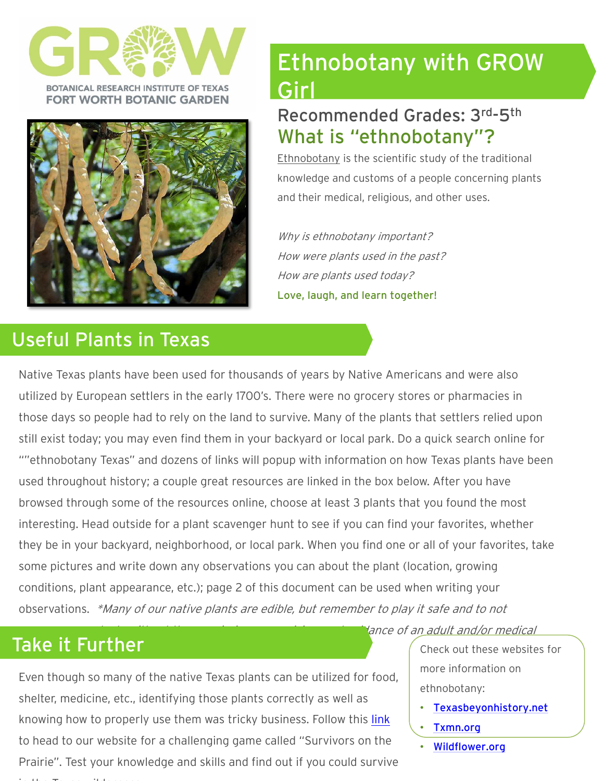

BOTANICAL RESEARCH INSTITUTE OF TEXAS **FORT WORTH BOTANIC GARDEN** 



# Useful Plants in Texas

# Ethnobotany with GROW Girl

# Recommended Grades: 3rd -5th What is "ethnobotany"?

Ethnobotany is the scientific study of the traditional knowledge and customs of a people concerning plants and their medical, religious, and other uses.

Why is ethnobotany important? How were plants used in the past? How are plants used today? Love, laugh, and learn together!

Native Texas plants have been used for thousands of years by Native Americans and were also utilized by European settlers in the early 1700's. There were no grocery stores or pharmacies in those days so people had to rely on the land to survive. Many of the plants that settlers relied upon still exist today; you may even find them in your backyard or local park. Do a quick search online for ""ethnobotany Texas" and dozens of links will popup with information on how Texas plants have been used throughout history; a couple great resources are linked in the box below. After you have browsed through some of the resources online, choose at least 3 plants that you found the most interesting. Head outside for a plant scavenger hunt to see if you can find your favorites, whether they be in your backyard, neighborhood, or local park. When you find one or all of your favorites, take some pictures and write down any observations you can about the plant (location, growing conditions, plant appearance, etc.); page 2 of this document can be used when writing your observations. \*Many of our native plants are edible, but remember to play it safe and to not

in the Texas wilderness.

Even though so many of the native Texas plants can be utilized for food, shelter, medicine, etc., identifying those plants correctly as well as knowing how to properly use them was tricky business. Follow this *[link](http://legacy.brit.org/webfm_send/124)* to head to our website for a challenging game called "Survivors on the Prairie". Test your knowledge and skills and find out if you could survive

Take it Further Check out these websites for more information on ethnobotany:

- [Texasbeyonhistory.net](https://texasbeyondhistory.net/prehistoric/index.html)
- [Txmn.org](https://txmn.org/alamo/ethnobotany/)

dance of an adult and/or medical

• [Wildflower.org](https://www.wildflower.org/expert/show.php?id=4438)